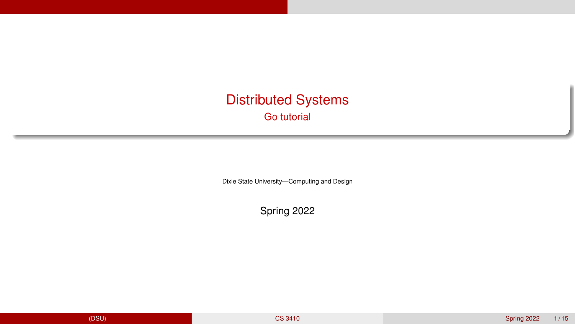## <span id="page-0-0"></span>Distributed Systems Go tutorial

Dixie State University—Computing and Design

Spring 2022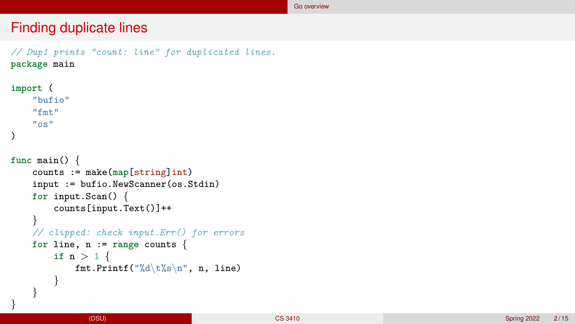#### <span id="page-1-0"></span>Finding duplicate lines

```
// Dup1 prints "count: line" for duplicated lines.
package main
import
(
    "bufio"
    "fmt"
    "os"
)
func main()
{
     counts := make(map[string]int)
    input := bufio.NewScanner(os.Stdin)
     for input.Scan()
{
         counts[input.Text()]++
    }
    // clipped: check input.Err() for errors
     for line, n := range counts
{
         \texttt{if} \; \; \texttt{n} > \texttt{1} \; \{fmt.Printf("%d\t\&s\n", n, line)}
     }
```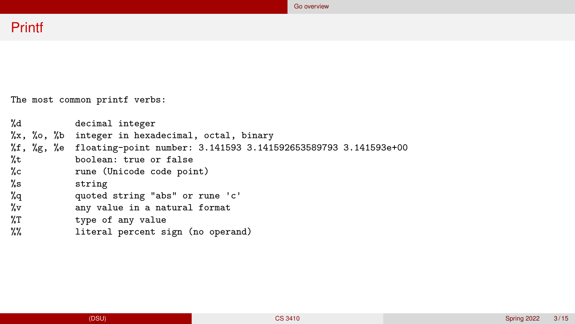# Printf

The most common printf verbs:

| %d   |  | decimal integer                                                                                                 |
|------|--|-----------------------------------------------------------------------------------------------------------------|
|      |  | %x, %o, %b integer in hexadecimal, octal, binary                                                                |
|      |  | $\frac{9}{11}$ , $\frac{9}{19}$ , $\frac{9}{10}$ floating-point number: 3.141593 3.141592653589793 3.141593e+00 |
| %t   |  | boolean: true or false                                                                                          |
| %c   |  | rune (Unicode code point)                                                                                       |
| %่ธ  |  | string                                                                                                          |
| %q   |  | quoted string "abs" or rune 'c'                                                                                 |
| %v   |  | any value in a natural format                                                                                   |
| %T   |  | type of any value                                                                                               |
| $\%$ |  | literal percent sign (no operand)                                                                               |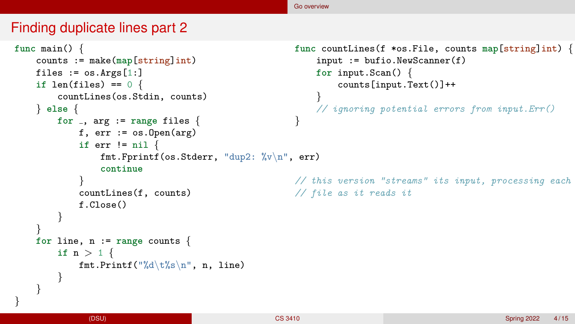#### [Go overview](#page-1-0)

## Finding duplicate lines part 2

```
func main() {
    counts := make(map[string]int)
    files := \cos \cdot \arg \left[ 1: \right]if len(files) == 0 {
        countLines(os.Stdin, counts)
    } else {
        for , arg := range files {
            f, err := os.Dpen(arg)if err != nil {
                 fmt.Fprintf(os.Stderr, "dup2: %v\n", err)
                 continue
             }
            countLines(f, counts)
            f.Close()
        }
    }
    for line, n := range counts {
        if n > 1 {
            fmt.Printf("%d\t%s\n", n, line)
        }
    }
                                                       func countLines(f *os.File, counts map[string]int) {
                                                            input := bufio.NewScanner(f)
                                                            for input.Scan() {
                                                                counts[input.Text()]++
                                                            }
                                                            // ignoring potential errors from input.Err()
                                                        }
                                                       // this version "streams" its input, processing each
                                                       // file as it reads it
```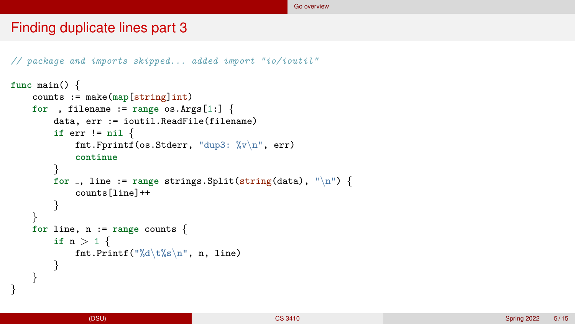#### Finding duplicate lines part 3

```
// package and imports skipped... added import "io/ioutil"
```

```
func main() {
    counts := make(map[string]int)
    for \Box, filename := range os. Args[1:] {
        data, err := ioutil.ReadFile(filename)
        if err != nil {
            fmt.Fprintf(os.Stderr, "dup3: %v\n", err)
            continue
        }
        for \Box, line := range strings. Split(string(data), "\n") {
            counts[line]++
        }
    }
    for line, n := range counts {
        if n > 1 {
            fmt.Printf("%d\t%s\n", n, line)
        }
    }
```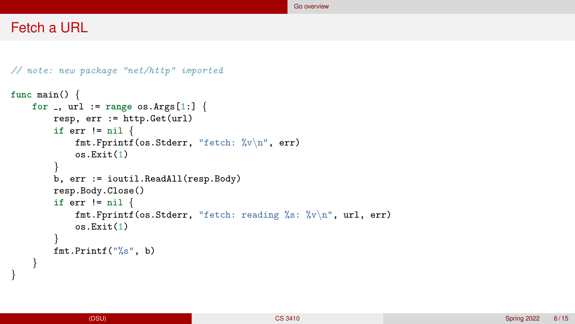## Fetch a URL

} }

```
// note: new package "net/http" imported
func main() {
   for , url := range os.Args[1:] {
        resp, err := http.Get(url)
        if err != nil {
            fmt.Fprintf(os.Stderr, "fetch: %v\n", err)
            os.Exit(1)
        }
        b, err := ioutil.ReadAll(resp.Body)
        resp.Body.Close()
        if err != nil {
            fmt.Fprintf(os.Stderr, "fetch: reading %s: %v\n", url, err)
            os.Exit(1)
        }
        fmt.Printf("%s", b)
```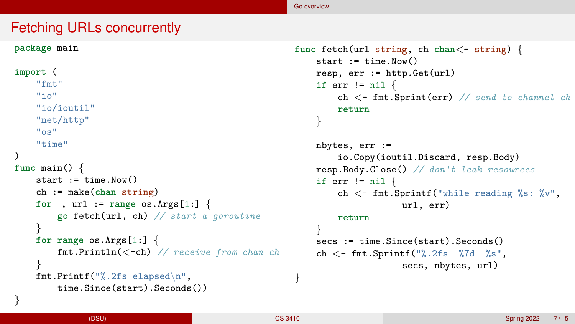## Fetching URLs concurrently

```
package main
import (
    "fmt"
    "in""io/ioutil"
    "net/http"
    "os"
    "time"
)
func main() {
    start := time. Now()
    ch := make(chan string)
    for \Box, url := range os. Args[1:]\ \{go fetch(url, ch) // start a goroutine
    }
    for range os.Args[1:] {
        fmt.Println(<-ch) // receive from chan ch
    }
    fmt.Printf("%.2fs elapsed\n",
        time.Since(start).Seconds())
```

```
func fetch(url string, ch chan<- string) {
    start := time. Now()
    resp, err := http.Get(url)
    if err != nil {
        ch <- fmt.Sprint(err) // send to channel ch
        return
    }
    nbytes, err :=
        io.Copy(ioutil.Discard, resp.Body)
    resp.Body.Close() // don't leak resources
    if err != nil {
        ch \langle- fmt.Sprintf("while reading %s: %v",
                    url, err)
        return
    }
    secs := time.Since(start).Seconds()
    ch \lt - fmt. Sprintf ("%. 2fs %7d %s",
                    secs, nbytes, url)
```
}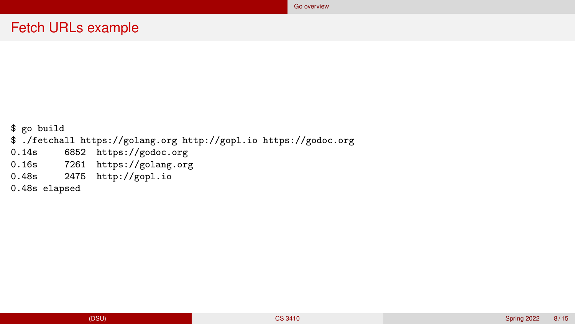## Fetch URLs example

\$ go build \$ ./fetchall https://golang.org http://gopl.io https://godoc.org 0.14s 6852 https://godoc.org<br>0.16s 7261 https://golang.org 7261 https://golang.org 0.48s 2475 http://gopl.io 0.48s elapsed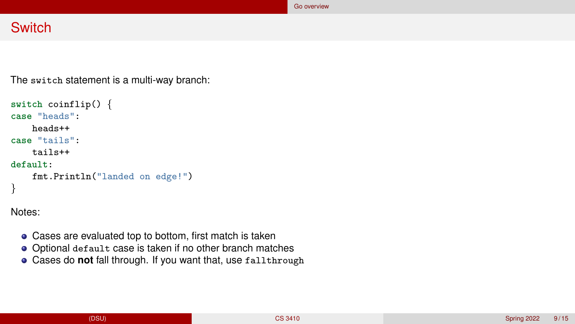## **Switch**

The switch statement is a multi-way branch:

```
switch coinflip() {
case "heads":
    heads++
case "tails":
    tails++
default:
    fmt.Println("landed on edge!")
}
```
Notes:

- Cases are evaluated top to bottom, first match is taken
- Optional default case is taken if no other branch matches
- Cases do **not** fall through. If you want that, use fallthrough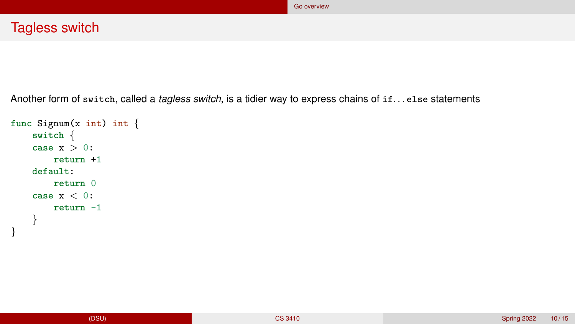Another form of switch, called a *tagless switch*, is a tidier way to express chains of if. . . else statements

```
func Signum(x int) int {
    switch {
    case x > 0:
        return +1
    default:
        return 0
    case x < 0:
        return -1
    }
}
```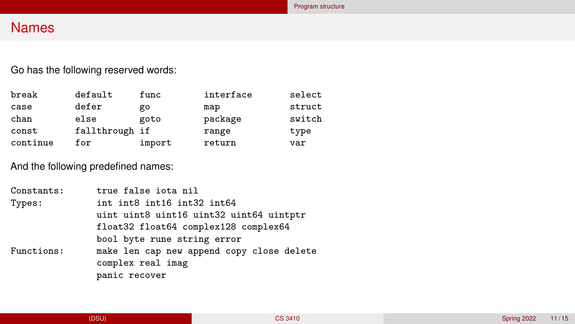## <span id="page-10-0"></span>Names

Go has the following reserved words:

| break    | default        | func   | interface | select |
|----------|----------------|--------|-----------|--------|
| case     | defer          | go     | map       | struct |
| chan     | else           | goto   | package   | switch |
| const    | fallthrough if |        | range     | type   |
| continue | for            | import | return    | var    |

And the following predefined names:

| uint uint8 uint16 uint32 uint64 uintptr   |
|-------------------------------------------|
|                                           |
|                                           |
| make len cap new append copy close delete |
|                                           |
|                                           |
|                                           |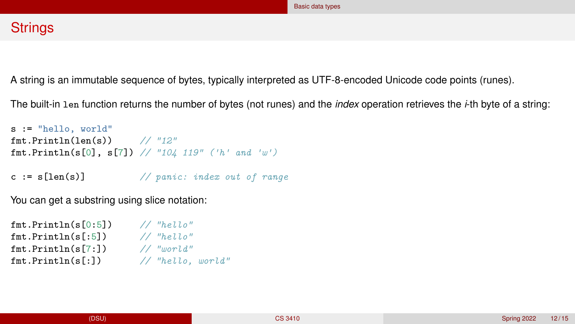### <span id="page-11-0"></span>**Strings**

A string is an immutable sequence of bytes, typically interpreted as UTF-8-encoded Unicode code points (runes).

The built-in len function returns the number of bytes (not runes) and the *index* operation retrieves the *i*-th byte of a string:

```
s := "hello, world"
fmt.Println(len(s)) // "12"
fmt.Println(s[0], s[7]) // "104 119" ('h' and 'w')
c := s[len(s)] // panic: index out of range
```
You can get a substring using slice notation:

```
fmt.Println(s[0:5]) // "hello"
fmt.Println(s[:5]) // "hello"
fmt.Println(s[7:]) // "world"
fmt.Println(s[:]) // "hello, world"
```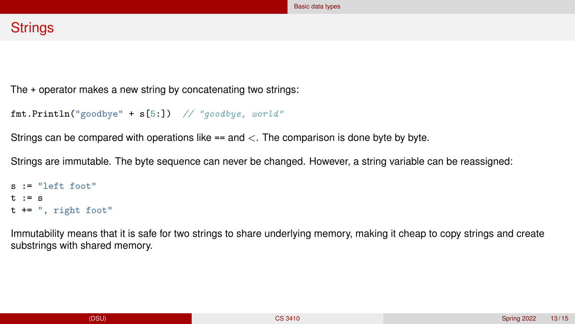## **Strings**

The + operator makes a new string by concatenating two strings:

```
fmt.Println("goodbye" + s[5:]) // "goodbye, world"
```
Strings can be compared with operations like  $==$  and  $\lt$ . The comparison is done byte by byte.

Strings are immutable. The byte sequence can never be changed. However, a string variable can be reassigned:

```
s := "left front"t : = st += ", right foot"
```
Immutability means that it is safe for two strings to share underlying memory, making it cheap to copy strings and create substrings with shared memory.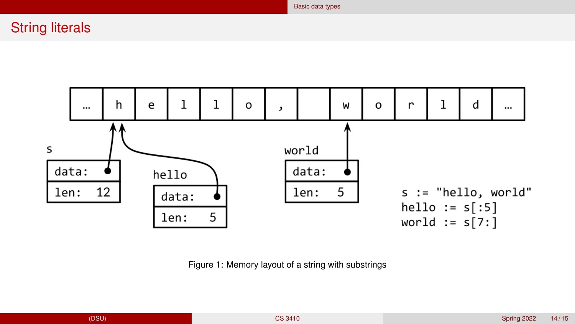String literals



[Basic data types](#page-11-0)

Figure 1: Memory layout of a string with substrings